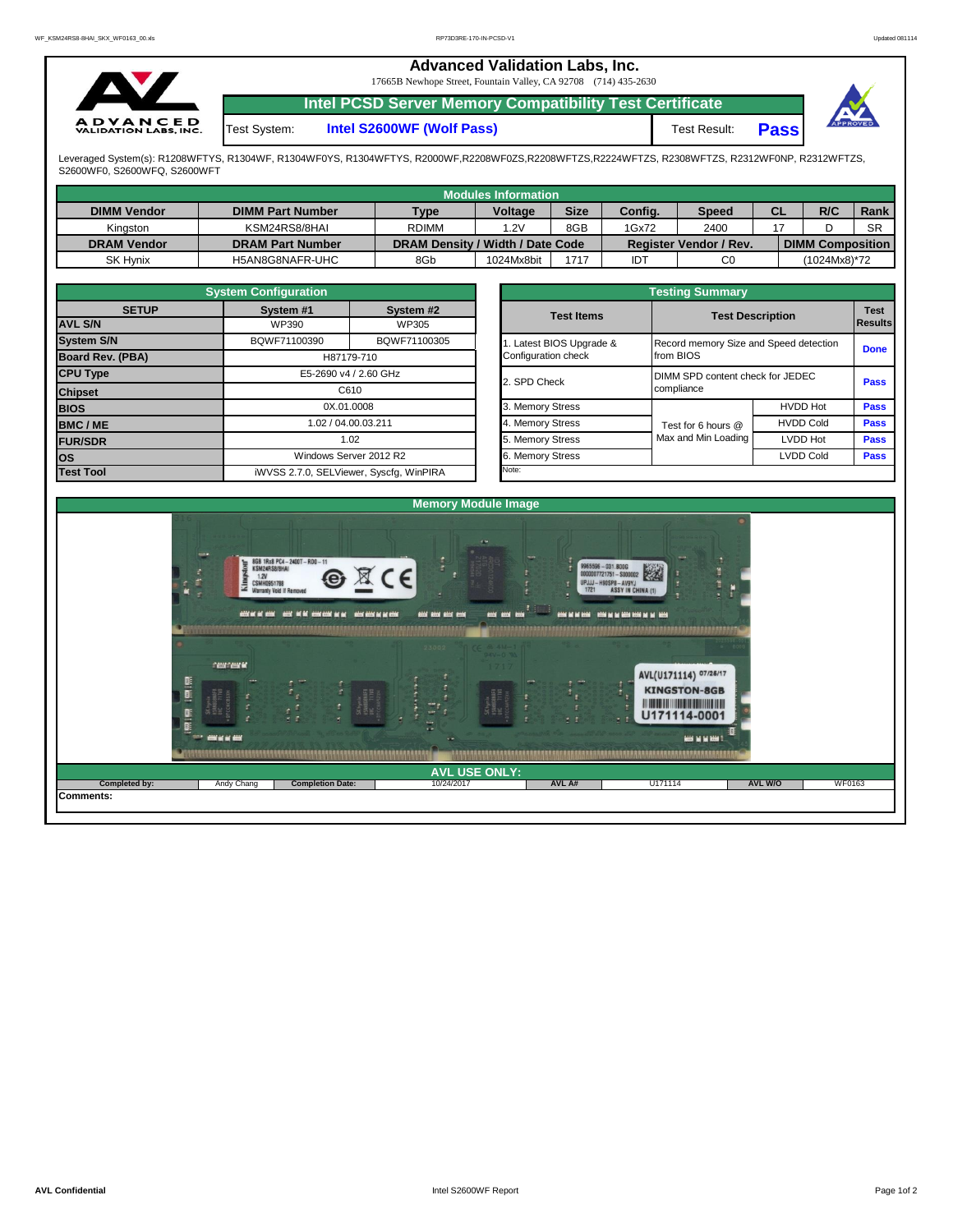## **Advanced Validation Labs, Inc.**  17665B Newhope Street, Fountain Valley, CA 92708 (714) 435-2630 **Intel PCSD Server Memory Compatibility Test Certificate A D V A N C E D**<br>VALIDATION LABS, INC. Test System: **Intel S2600WF (Wolf Pass)** Test Result: **Pass**

Leveraged System(s): R1208WFTYS, R1304WF, R1304WF0YS, R1304WFTYS, R2000WF,R2208WF0ZS,R2208WFTZS,R2224WFTZS, R2308WFTZS, R2312WF0NP, R2312WFTZS, S2600WF0, S2600WFQ, S2600WFT

|                    |                         |                                  | <b>Modules Information</b> |             |         |                               |    |                         |             |
|--------------------|-------------------------|----------------------------------|----------------------------|-------------|---------|-------------------------------|----|-------------------------|-------------|
| <b>DIMM Vendor</b> | <b>DIMM Part Number</b> | <b>Type</b>                      | <b>Voltage</b>             | <b>Size</b> | Config. | <b>Speed</b>                  | СL | R/C                     | <b>Rank</b> |
| Kinaston           | KSM24RS8/8HAI           | <b>RDIMM</b>                     | .2V                        | 8GB         | 1Gx72   | 2400                          |    |                         | <b>SR</b>   |
| <b>DRAM Vendor</b> | <b>DRAM Part Number</b> | DRAM Density / Width / Date Code |                            |             |         | <b>Register Vendor / Rev.</b> |    | <b>DIMM Composition</b> |             |
| <b>SK Hynix</b>    | H5AN8G8NAFR-UHC         | 8Gb                              | 1024Mx8bit                 | 1717        | IDT     | C0                            |    | (1024Mx8)*72            |             |

|                                | <b>System Configuration</b>             |                        |  |                       | <b>Testing Summary</b>                 |                                           |             |  |  |  |
|--------------------------------|-----------------------------------------|------------------------|--|-----------------------|----------------------------------------|-------------------------------------------|-------------|--|--|--|
| <b>SETUP</b><br><b>AVL S/N</b> | System #1<br>WP390                      | System #2<br>WP305     |  | <b>Test Items</b>     |                                        | <b>Test Description</b><br><b>Results</b> |             |  |  |  |
| <b>System S/N</b>              | BQWF71100390                            | BQWF71100305           |  | Latest BIOS Upgrade & | Record memory Size and Speed detection |                                           | <b>Done</b> |  |  |  |
| Board Rev. (PBA)               |                                         | H87179-710             |  | Configuration check   | from BIOS                              |                                           |             |  |  |  |
| <b>CPU Type</b>                | E5-2690 v4 / 2.60 GHz                   |                        |  | 2. SPD Check          | DIMM SPD content check for JEDEC       | <b>Pass</b>                               |             |  |  |  |
| <b>Chipset</b>                 | C610                                    |                        |  |                       | compliance                             |                                           |             |  |  |  |
| <b>BIOS</b>                    |                                         | 0X.01.0008             |  | 3. Memory Stress      |                                        | <b>HVDD Hot</b>                           | <b>Pass</b> |  |  |  |
| <b>BMC/ME</b>                  |                                         | 1.02 / 04.00.03.211    |  | 4. Memory Stress      | Test for 6 hours @                     | <b>HVDD Cold</b>                          | <b>Pass</b> |  |  |  |
| <b>FUR/SDR</b>                 |                                         | 1.02                   |  | 5. Memory Stress      | Max and Min Loading                    | LVDD Hot                                  | <b>Pass</b> |  |  |  |
| <b>los</b>                     |                                         | Windows Server 2012 R2 |  | 6. Memory Stress      |                                        | <b>LVDD Cold</b>                          |             |  |  |  |
| <b>Test Tool</b>               | iWVSS 2.7.0, SELViewer, Syscfq, WinPIRA |                        |  | Note:                 |                                        |                                           |             |  |  |  |

|                                                 | <b>Testing Summary</b>                              |                  |                               |
|-------------------------------------------------|-----------------------------------------------------|------------------|-------------------------------|
| <b>Test Items</b>                               | <b>Test Description</b>                             |                  | <b>Test</b><br><b>Results</b> |
| 1. Latest BIOS Upgrade &<br>Configuration check | Record memory Size and Speed detection<br>from BIOS |                  | <b>Done</b>                   |
| 2. SPD Check                                    | DIMM SPD content check for JEDEC<br>compliance      |                  | Pass                          |
| 3. Memory Stress                                |                                                     | <b>HVDD Hot</b>  | <b>Pass</b>                   |
| 4. Memory Stress                                | Test for 6 hours @                                  | <b>HVDD Cold</b> | <b>Pass</b>                   |
| 5. Memory Stress                                | Max and Min Loading                                 | <b>LVDD Hot</b>  | <b>Pass</b>                   |
| 6. Memory Stress                                |                                                     | <b>LVDD Cold</b> | Pass                          |
| Note:                                           |                                                     |                  |                               |